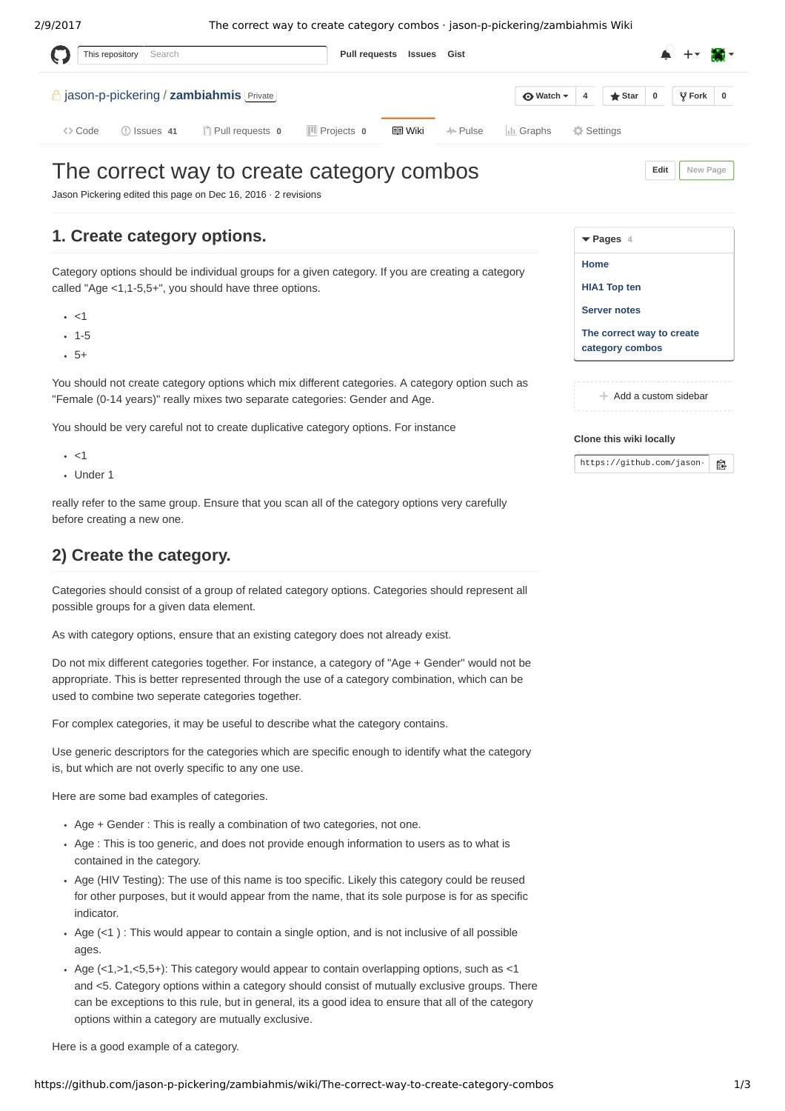2/9/2017 The correct way to create category combos · jason-p-pickering/zambiahmis Wiki This repository **[Pull requests](https://github.com/pulls) [Issues](https://github.com/issues) [Gist](https://gist.github.com/)** The correct way to create category combos Search **f** [jason-p-pickering](https://github.com/jason-p-pickering) / **[zambiahmis](https://github.com/jason-p-pickering/zambiahmis)** Private ◇ [Code](https://github.com/jason-p-pickering/zambiahmis) ① [Issues](https://github.com/jason-p-pickering/zambiahmis/issues) 41 <sup>1</sup> [Pull requests](https://github.com/jason-p-pickering/zambiahmis/pulls) **0** III [Projects](https://github.com/jason-p-pickering/zambiahmis/projects) **0** 国 [Wiki](https://github.com/jason-p-pickering/zambiahmis/wiki) → [Pulse](https://github.com/jason-p-pickering/zambiahmis/pulse) [Graphs](https://github.com/jason-p-pickering/zambiahmis/graphs) ☆ [Settings](https://github.com/jason-p-pickering/zambiahmis/settings) **[Edit](https://github.com/jason-p-pickering/zambiahmis/wiki/The-correct-way-to-create-category-combos/_edit) [New Page](https://github.com/jason-p-pickering/zambiahmis/wiki/_new)**  $\bigcirc$  [Watch](https://github.com/jason-p-pickering/zambiahmis/subscription)  $\star$  | [4](https://github.com/jason-p-pickering/zambiahmis/watchers) |  $\bigstar$  Star | [0](https://github.com/jason-p-pickering/zambiahmis/network) |  $\circ$  Fork | 0

Jason Pickering edited this page on De

## **1. Create category op**

Category options should be individ called "Age  $<$ 1,1-5,5+", you should

- $\cdot$  <1
- $-1-5$
- $-5+$

You should not create category options which mix different category options. "Female (0-14 years)" really mixes

You should be very careful not to c

- $\cdot$  <1
- Under 1

really refer to the same group. Ensure that you scan all of the category options very carefully before creating a new one.

## **2) Create the category.**

Categories should consist of a group of related category options. Categories should represent all possible groups for a given data element.

As with category options, ensure that an existing category does not already exist.

Do not mix different categories together. For instance, a category of "Age + Gender" would not be appropriate. This is better represented through the use of a category combination, which can be used to combine two seperate categories together.

For complex categories, it may be useful to describe what the category contains.

Use generic descriptors for the categories which are specific enough to identify what the category is, but which are not overly specific to any one use.

Here are some bad examples of categories.

- Age + Gender : This is really a combination of two categories, not one.
- Age : This is too generic, and does not provide enough information to users as to what is contained in the category.
- Age (HIV Testing): The use of this name is too specific. Likely this category could be reused for other purposes, but it would appear from the name, that its sole purpose is for as specific indicator.
- Age  $(\leq 1)$ : This would appear to contain a single option, and is not inclusive of all possible ages.
- Age  $( $1, >1, <5,5+$ ): This category would appear to contain overlapping options, such as  $<1$$ and <5. Category options within a category should consist of mutually exclusive groups. There can be exceptions to this rule, but in general, its a good idea to ensure that all of the category options within a category are mutually exclusive.

Here is a good example of a category.

| c 16, 2016 $\cdot$ 2 revisions                                                                              |                                              |
|-------------------------------------------------------------------------------------------------------------|----------------------------------------------|
| tions.                                                                                                      | $\blacktriangledown$ Pages 4                 |
| ual groups for a given category. If you are creating a category                                             | Home                                         |
| I have three options.                                                                                       | <b>HIA1 Top ten</b>                          |
|                                                                                                             | <b>Server notes</b>                          |
|                                                                                                             | The correct way to create<br>category combos |
| tions which mix different categories. A category option such as<br>two separate categories: Gender and Age. | $+$ Add a custom sidebar                     |
| reate duplicative category options. For instance                                                            | Clone this wiki locally                      |

https://github.com/jason- $\mathbb{R}$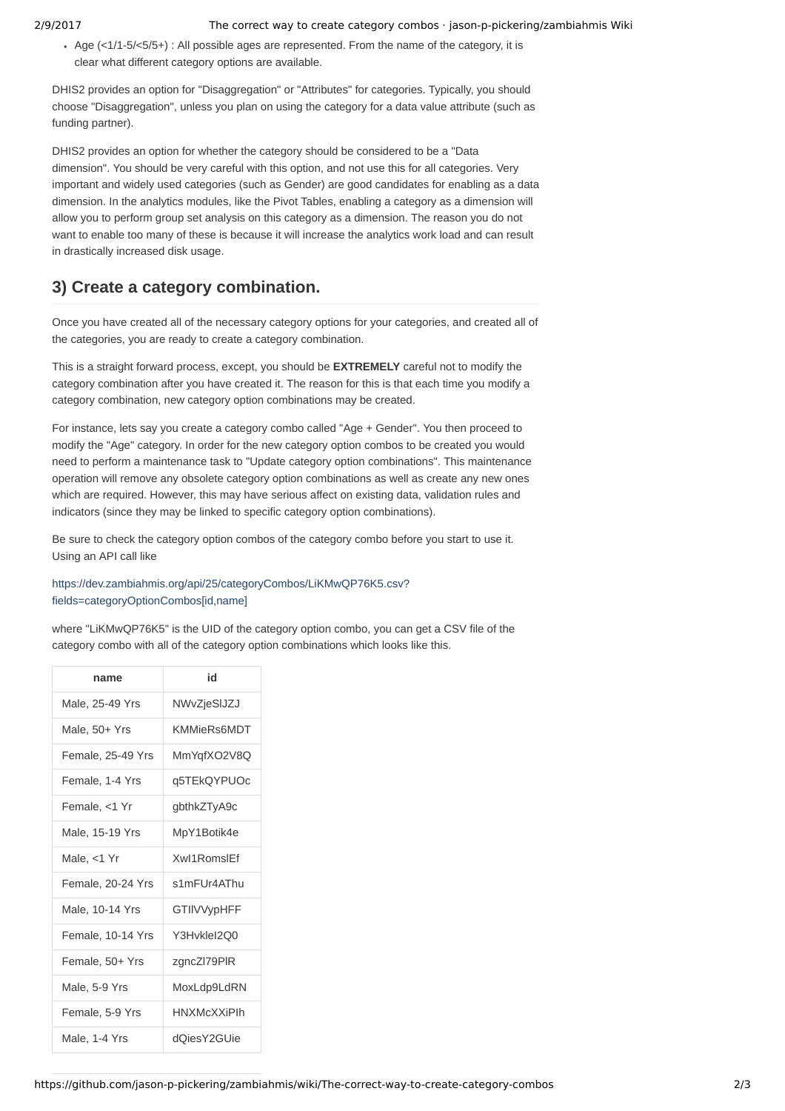Age  $\left( \frac{1}{1-5}\right)$  =  $\left( \frac{1}{5}\right)$  : All possible ages are represented. From the name of the category, it is clear what different category options are available.

DHIS2 provides an option for "Disaggregation" or "Attributes" for categories. Typically, you should choose "Disaggregation", unless you plan on using the category for a data value attribute (such as funding partner).

DHIS2 provides an option for whether the category should be considered to be a "Data dimension". You should be very careful with this option, and not use this for all categories. Very important and widely used categories (such as Gender) are good candidates for enabling as a data dimension. In the analytics modules, like the Pivot Tables, enabling a category as a dimension will allow you to perform group set analysis on this category as a dimension. The reason you do not want to enable too many of these is because it will increase the analytics work load and can result in drastically increased disk usage.

## **3) Create a category combination.**

Once you have created all of the necessary category options for your categories, and created all of the categories, you are ready to create a category combination.

This is a straight forward process, except, you should be **EXTREMELY** careful not to modify the category combination after you have created it. The reason for this is that each time you modify a category combination, new category option combinations may be created.

For instance, lets say you create a category combo called "Age + Gender". You then proceed to modify the "Age" category. In order for the new category option combos to be created you would need to perform a maintenance task to "Update category option combinations". This maintenance operation will remove any obsolete category option combinations as well as create any new ones which are required. However, this may have serious affect on existing data, validation rules and indicators (since they may be linked to specific category option combinations).

Be sure to check the category option combos of the category combo before you start to use it. Using an API call like

## [https://dev.zambiahmis.org/api/25/categoryCombos/LiKMwQP76K5.csv?](https://dev.zambiahmis.org/api/25/categoryCombos/LiKMwQP76K5.csv?fields=categoryOptionCombos%5Bid,name%5D) fields=categoryOptionCombos[id.name]

where "LiKMwQP76K5" is the UID of the category option combo, you can get a CSV file of the category combo with all of the category option combinations which looks like this.

| name              | id                 |
|-------------------|--------------------|
| Male, 25-49 Yrs   | NWvZjeSIJZJ        |
| Male, 50+ Yrs     | <b>KMMieRs6MDT</b> |
| Female, 25-49 Yrs | MmYgfXO2V8O        |
| Female, 1-4 Yrs   | q5TEkQYPUOc        |
| Female, <1 Yr     | gbthkZTyA9c        |
| Male, 15-19 Yrs   | MpY1Botik4e        |
| Male, $<$ 1 Yr    | Xwl1RomslFf        |
| Female, 20-24 Yrs | s1mFUr4AThu        |
| Male, 10-14 Yrs   | <b>GTIIVVypHFF</b> |
| Female, 10-14 Yrs | Y3HvkleI2Q0        |
| Female, 50+ Yrs   | zgncZl79PlR        |
| Male, 5-9 Yrs     | MoxLdp9LdRN        |
| Female, 5-9 Yrs   | <b>HNXMcXXiPlh</b> |
| Male, 1-4 Yrs     | dOiesY2GUie        |